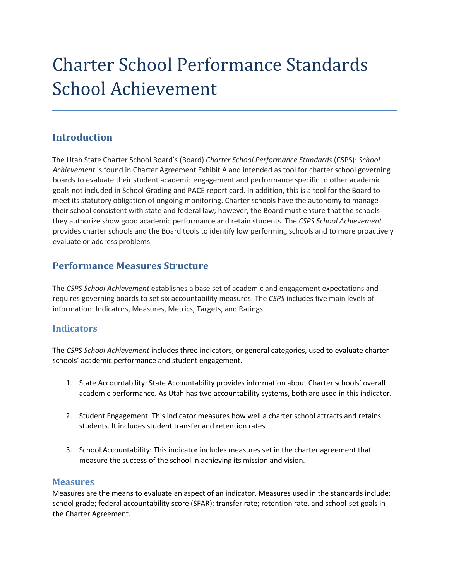# Charter School Performance Standards School Achievement

# **Introduction**

The Utah State Charter School Board's (Board) *Charter School Performance Standards* (CSPS): *School Achievement* is found in Charter Agreement Exhibit A and intended as tool for charter school governing boards to evaluate their student academic engagement and performance specific to other academic goals not included in School Grading and PACE report card. In addition, this is a tool for the Board to meet its statutory obligation of ongoing monitoring. Charter schools have the autonomy to manage their school consistent with state and federal law; however, the Board must ensure that the schools they authorize show good academic performance and retain students. The *CSPS School Achievement* provides charter schools and the Board tools to identify low performing schools and to more proactively evaluate or address problems.

# **Performance Measures Structure**

The *CSPS School Achievement* establishes a base set of academic and engagement expectations and requires governing boards to set six accountability measures. The *CSPS* includes five main levels of information: Indicators, Measures, Metrics, Targets, and Ratings.

## **Indicators**

The *CSPS School Achievement* includes three indicators, or general categories, used to evaluate charter schools' academic performance and student engagement.

- 1. State Accountability: State Accountability provides information about Charter schools' overall academic performance. As Utah has two accountability systems, both are used in this indicator.
- 2. Student Engagement: This indicator measures how well a charter school attracts and retains students. It includes student transfer and retention rates.
- 3. School Accountability: This indicator includes measures set in the charter agreement that measure the success of the school in achieving its mission and vision.

#### **Measures**

Measures are the means to evaluate an aspect of an indicator. Measures used in the standards include: school grade; federal accountability score (SFAR); transfer rate; retention rate, and school-set goals in the Charter Agreement.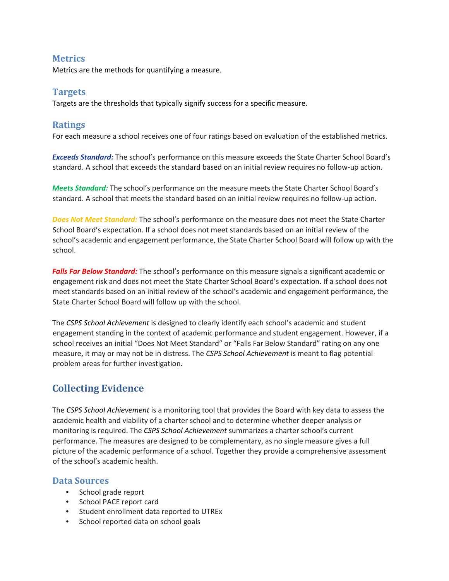## **Metrics**

Metrics are the methods for quantifying a measure.

## **Targets**

Targets are the thresholds that typically signify success for a specific measure.

## **Ratings**

For each measure a school receives one of four ratings based on evaluation of the established metrics.

*Exceeds Standard:* The school's performance on this measure exceeds the State Charter School Board's standard. A school that exceeds the standard based on an initial review requires no follow-up action.

*Meets Standard:* The school's performance on the measure meets the State Charter School Board's standard. A school that meets the standard based on an initial review requires no follow-up action.

*Does Not Meet Standard:* The school's performance on the measure does not meet the State Charter School Board's expectation. If a school does not meet standards based on an initial review of the school's academic and engagement performance, the State Charter School Board will follow up with the school.

*Falls Far Below Standard:* The school's performance on this measure signals a significant academic or engagement risk and does not meet the State Charter School Board's expectation. If a school does not meet standards based on an initial review of the school's academic and engagement performance, the State Charter School Board will follow up with the school.

The *CSPS School Achievement* is designed to clearly identify each school's academic and student engagement standing in the context of academic performance and student engagement. However, if a school receives an initial "Does Not Meet Standard" or "Falls Far Below Standard" rating on any one measure, it may or may not be in distress. The *CSPS School Achievement* is meant to flag potential problem areas for further investigation.

# **Collecting Evidence**

The *CSPS School Achievement* is a monitoring tool that provides the Board with key data to assess the academic health and viability of a charter school and to determine whether deeper analysis or monitoring is required. The *CSPS School Achievement* summarizes a charter school's current performance. The measures are designed to be complementary, as no single measure gives a full picture of the academic performance of a school. Together they provide a comprehensive assessment of the school's academic health.

## **Data Sources**

- School grade report
- School PACE report card
- Student enrollment data reported to UTREx
- School reported data on school goals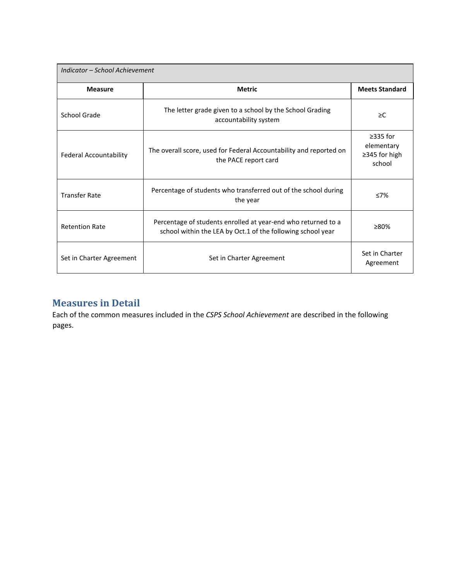| Indicator - School Achievement |                                                                                                                              |                                                         |  |
|--------------------------------|------------------------------------------------------------------------------------------------------------------------------|---------------------------------------------------------|--|
| <b>Measure</b>                 | <b>Metric</b>                                                                                                                | <b>Meets Standard</b>                                   |  |
| School Grade                   | The letter grade given to a school by the School Grading<br>accountability system                                            | $\geq$ C                                                |  |
| <b>Federal Accountability</b>  | The overall score, used for Federal Accountability and reported on<br>the PACE report card                                   | $\geq$ 335 for<br>elementary<br>≥345 for high<br>school |  |
| <b>Transfer Rate</b>           | Percentage of students who transferred out of the school during<br>the year                                                  | $\leq 7\%$                                              |  |
| <b>Retention Rate</b>          | Percentage of students enrolled at year-end who returned to a<br>school within the LEA by Oct.1 of the following school year | $\geq 80\%$                                             |  |
| Set in Charter Agreement       | Set in Charter Agreement                                                                                                     | Set in Charter<br>Agreement                             |  |

# **Measures in Detail**

Each of the common measures included in the *CSPS School Achievement* are described in the following pages.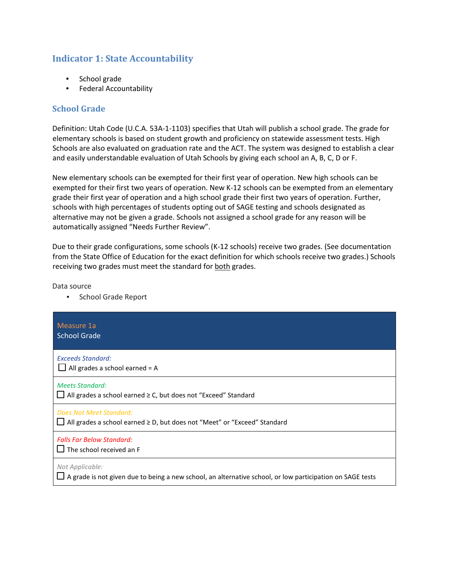# **Indicator 1: State Accountability**

- School grade
- Federal Accountability

## **School Grade**

Definition: Utah Code (U.C.A. 53A-1-1103) specifies that Utah will publish a school grade. The grade for elementary schools is based on student growth and proficiency on statewide assessment tests. High Schools are also evaluated on graduation rate and the ACT. The system was designed to establish a clear and easily understandable evaluation of Utah Schools by giving each school an A, B, C, D or F.

New elementary schools can be exempted for their first year of operation. New high schools can be exempted for their first two years of operation. New K-12 schools can be exempted from an elementary grade their first year of operation and a high school grade their first two years of operation. Further, schools with high percentages of students opting out of SAGE testing and schools designated as alternative may not be given a grade. Schools not assigned a school grade for any reason will be automatically assigned "Needs Further Review".

Due to their grade configurations, some schools (K-12 schools) receive two grades. (See documentation from the State Office of Education for the exact definition for which schools receive two grades.) Schools receiving two grades must meet the standard for both grades.

Data source

• School Grade Report

| Measure 1a<br><b>School Grade</b>                                                                                                   |
|-------------------------------------------------------------------------------------------------------------------------------------|
| <b>Exceeds Standard:</b><br>$\Box$ All grades a school earned = A                                                                   |
| <b>Meets Standard:</b><br>$\Box$ All grades a school earned $\geq$ C, but does not "Exceed" Standard                                |
| Does Not Meet Standard:<br>All grades a school earned ≥ D, but does not "Meet" or "Exceed" Standard                                 |
| <b>Falls Far Below Standard:</b><br>The school received an F                                                                        |
| Not Applicable:<br>$\Box$ A grade is not given due to being a new school, an alternative school, or low participation on SAGE tests |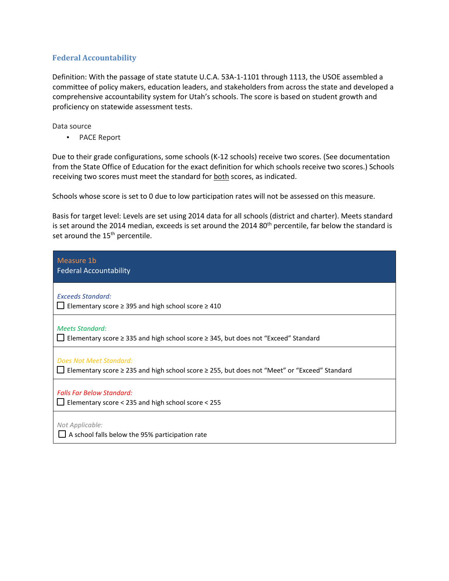#### **Federal Accountability**

Definition: With the passage of state statute U.C.A. 53A-1-1101 through 1113, the USOE assembled a committee of policy makers, education leaders, and stakeholders from across the state and developed a comprehensive accountability system for Utah's schools. The score is based on student growth and proficiency on statewide assessment tests.

Data source

• PACE Report

Due to their grade configurations, some schools (K-12 schools) receive two scores. (See documentation from the State Office of Education for the exact definition for which schools receive two scores.) Schools receiving two scores must meet the standard for both scores, as indicated.

Schools whose score is set to 0 due to low participation rates will not be assessed on this measure.

Basis for target level: Levels are set using 2014 data for all schools (district and charter). Meets standard is set around the 2014 median, exceeds is set around the 2014 80<sup>th</sup> percentile, far below the standard is set around the 15<sup>th</sup> percentile.

| Measure 1b<br><b>Federal Accountability</b>                                                                             |
|-------------------------------------------------------------------------------------------------------------------------|
| <b>Exceeds Standard:</b><br>Elementary score $\geq$ 395 and high school score $\geq$ 410                                |
| <b>Meets Standard:</b><br>Elementary score $\geq$ 335 and high school score $\geq$ 345, but does not "Exceed" Standard  |
| Does Not Meet Standard:<br>Elementary score ≥ 235 and high school score ≥ 255, but does not "Meet" or "Exceed" Standard |
| <b>Falls Far Below Standard:</b><br>Elementary score < 235 and high school score < 255                                  |
| Not Applicable:<br>$\Box$ A school falls below the 95% participation rate                                               |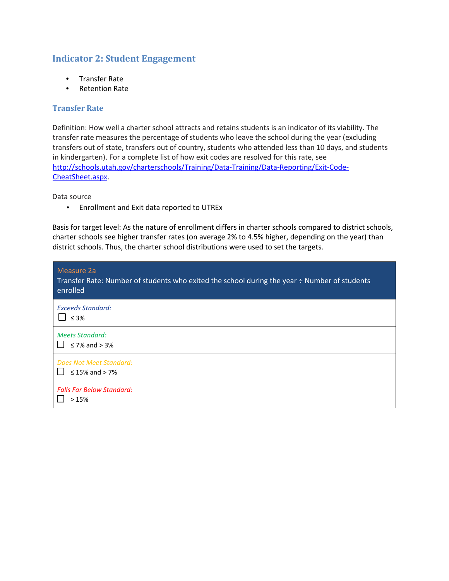## **Indicator 2: Student Engagement**

- Transfer Rate
- Retention Rate

#### **Transfer Rate**

Definition: How well a charter school attracts and retains students is an indicator of its viability. The transfer rate measures the percentage of students who leave the school during the year (excluding transfers out of state, transfers out of country, students who attended less than 10 days, and students in kindergarten). For a complete list of how exit codes are resolved for this rate, see [http://schools.utah.gov/charterschools/Training/Data-Training/Data-Reporting/Exit-Code-](http://schools.utah.gov/charterschools/Training/Data-Training/Data-Reporting/Exit-Code-Cheat-Sheet.aspx)[CheatSheet.aspx.](http://schools.utah.gov/charterschools/Training/Data-Training/Data-Reporting/Exit-Code-Cheat-Sheet.aspx)

Data source

• Enrollment and Exit data reported to UTREx

Basis for target level: As the nature of enrollment differs in charter schools compared to district schools, charter schools see higher transfer rates (on average 2% to 4.5% higher, depending on the year) than district schools. Thus, the charter school distributions were used to set the targets.

| Measure 2a<br>Transfer Rate: Number of students who exited the school during the year ÷ Number of students<br>enrolled |
|------------------------------------------------------------------------------------------------------------------------|
| Exceeds Standard:<br>$\leq 3\%$                                                                                        |
| <b>Meets Standard:</b><br>$\leq$ 7% and $>$ 3%                                                                         |
| Does Not Meet Standard:<br>$\leq$ 15% and > 7%                                                                         |
| <b>Falls Far Below Standard:</b><br>>15%                                                                               |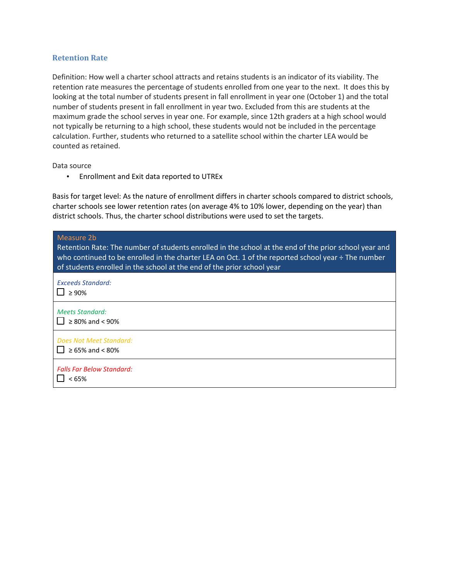#### **Retention Rate**

Definition: How well a charter school attracts and retains students is an indicator of its viability. The retention rate measures the percentage of students enrolled from one year to the next. It does this by looking at the total number of students present in fall enrollment in year one (October 1) and the total number of students present in fall enrollment in year two. Excluded from this are students at the maximum grade the school serves in year one. For example, since 12th graders at a high school would not typically be returning to a high school, these students would not be included in the percentage calculation. Further, students who returned to a satellite school within the charter LEA would be counted as retained.

Data source

• Enrollment and Exit data reported to UTREx

Basis for target level: As the nature of enrollment differs in charter schools compared to district schools, charter schools see lower retention rates (on average 4% to 10% lower, depending on the year) than district schools. Thus, the charter school distributions were used to set the targets.

| Measure 2b<br>Retention Rate: The number of students enrolled in the school at the end of the prior school year and<br>who continued to be enrolled in the charter LEA on Oct. 1 of the reported school year ÷ The number<br>of students enrolled in the school at the end of the prior school year |
|-----------------------------------------------------------------------------------------------------------------------------------------------------------------------------------------------------------------------------------------------------------------------------------------------------|
| <b>Exceeds Standard:</b><br>$\geq 90\%$                                                                                                                                                                                                                                                             |
| <b>Meets Standard:</b><br>$\geq$ 80% and < 90%                                                                                                                                                                                                                                                      |
| Does Not Meet Standard:<br>≥ 65% and < 80%                                                                                                                                                                                                                                                          |
| <b>Falls Far Below Standard:</b><br><65%                                                                                                                                                                                                                                                            |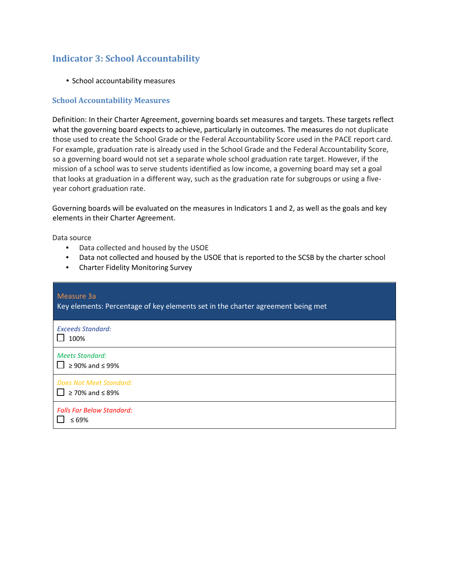# **Indicator 3: School Accountability**

• School accountability measures

#### **School Accountability Measures**

Definition: In their Charter Agreement, governing boards set measures and targets. These targets reflect what the governing board expects to achieve, particularly in outcomes. The measures do not duplicate those used to create the School Grade or the Federal Accountability Score used in the PACE report card. For example, graduation rate is already used in the School Grade and the Federal Accountability Score, so a governing board would not set a separate whole school graduation rate target. However, if the mission of a school was to serve students identified as low income, a governing board may set a goal that looks at graduation in a different way, such as the graduation rate for subgroups or using a fiveyear cohort graduation rate.

Governing boards will be evaluated on the measures in Indicators 1 and 2, as well as the goals and key elements in their Charter Agreement.

Data source

- Data collected and housed by the USOE
- Data not collected and housed by the USOE that is reported to the SCSB by the charter school
- Charter Fidelity Monitoring Survey

| Measure 3a<br>Key elements: Percentage of key elements set in the charter agreement being met |
|-----------------------------------------------------------------------------------------------|
| <b>Exceeds Standard:</b><br>100%                                                              |
| <b>Meets Standard:</b><br>$\geq$ 90% and $\leq$ 99%                                           |
| <b>Does Not Meet Standard:</b><br>$\geq$ 70% and $\leq$ 89%                                   |
| <b>Falls Far Below Standard:</b><br>$\leq 69\%$                                               |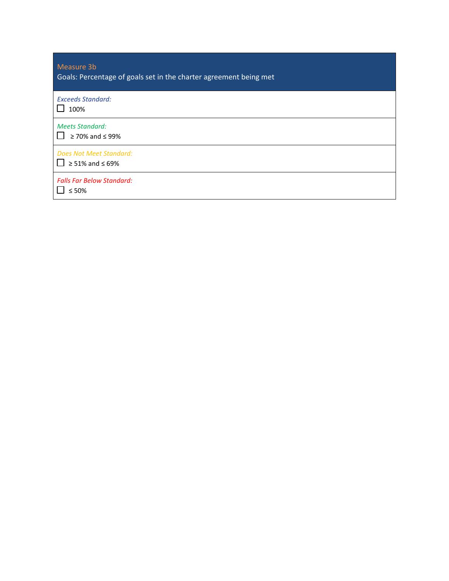| Measure 3b<br>Goals: Percentage of goals set in the charter agreement being met |
|---------------------------------------------------------------------------------|
| <b>Exceeds Standard:</b><br>100%                                                |
| <b>Meets Standard:</b><br>$\geq$ 70% and $\leq$ 99%                             |
| Does Not Meet Standard:<br>$\geq 51\%$ and $\leq 69\%$                          |
| <b>Falls Far Below Standard:</b><br>$\leq 50\%$                                 |